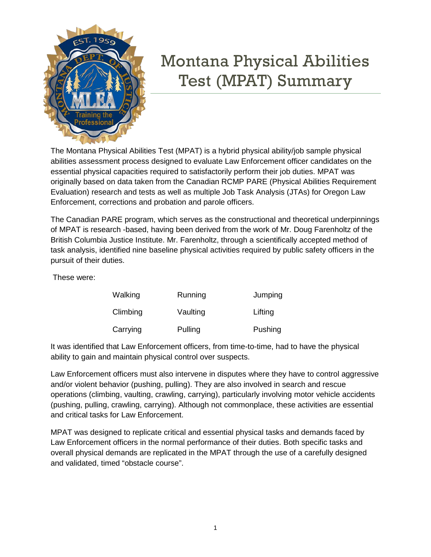

## Montana Physical Abilities Test (MPAT) Summary

The Montana Physical Abilities Test (MPAT) is a hybrid physical ability/job sample physical abilities assessment process designed to evaluate Law Enforcement officer candidates on the essential physical capacities required to satisfactorily perform their job duties. MPAT was originally based on data taken from the Canadian RCMP PARE (Physical Abilities Requirement Evaluation) research and tests as well as multiple Job Task Analysis (JTAs) for Oregon Law Enforcement, corrections and probation and parole officers.

The Canadian PARE program, which serves as the constructional and theoretical underpinnings of MPAT is research -based, having been derived from the work of Mr. Doug Farenholtz of the British Columbia Justice Institute. Mr. Farenholtz, through a scientifically accepted method of task analysis, identified nine baseline physical activities required by public safety officers in the pursuit of their duties.

These were:

| Walking  | Running  | Jumping |
|----------|----------|---------|
| Climbing | Vaulting | Lifting |
| Carrying | Pulling  | Pushing |

It was identified that Law Enforcement officers, from time-to-time, had to have the physical ability to gain and maintain physical control over suspects.

Law Enforcement officers must also intervene in disputes where they have to control aggressive and/or violent behavior (pushing, pulling). They are also involved in search and rescue operations (climbing, vaulting, crawling, carrying), particularly involving motor vehicle accidents (pushing, pulling, crawling, carrying). Although not commonplace, these activities are essential and critical tasks for Law Enforcement.

MPAT was designed to replicate critical and essential physical tasks and demands faced by Law Enforcement officers in the normal performance of their duties. Both specific tasks and overall physical demands are replicated in the MPAT through the use of a carefully designed and validated, timed "obstacle course".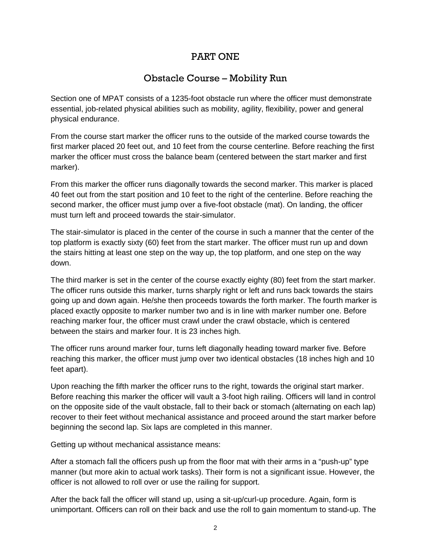### PART ONE

## Obstacle Course – Mobility Run

Section one of MPAT consists of a 1235-foot obstacle run where the officer must demonstrate essential, job-related physical abilities such as mobility, agility, flexibility, power and general physical endurance.

From the course start marker the officer runs to the outside of the marked course towards the first marker placed 20 feet out, and 10 feet from the course centerline. Before reaching the first marker the officer must cross the balance beam (centered between the start marker and first marker).

From this marker the officer runs diagonally towards the second marker. This marker is placed 40 feet out from the start position and 10 feet to the right of the centerline. Before reaching the second marker, the officer must jump over a five-foot obstacle (mat). On landing, the officer must turn left and proceed towards the stair-simulator.

The stair-simulator is placed in the center of the course in such a manner that the center of the top platform is exactly sixty (60) feet from the start marker. The officer must run up and down the stairs hitting at least one step on the way up, the top platform, and one step on the way down.

The third marker is set in the center of the course exactly eighty (80) feet from the start marker. The officer runs outside this marker, turns sharply right or left and runs back towards the stairs going up and down again. He/she then proceeds towards the forth marker. The fourth marker is placed exactly opposite to marker number two and is in line with marker number one. Before reaching marker four, the officer must crawl under the crawl obstacle, which is centered between the stairs and marker four. It is 23 inches high.

The officer runs around marker four, turns left diagonally heading toward marker five. Before reaching this marker, the officer must jump over two identical obstacles (18 inches high and 10 feet apart).

Upon reaching the fifth marker the officer runs to the right, towards the original start marker. Before reaching this marker the officer will vault a 3-foot high railing. Officers will land in control on the opposite side of the vault obstacle, fall to their back or stomach (alternating on each lap) recover to their feet without mechanical assistance and proceed around the start marker before beginning the second lap. Six laps are completed in this manner.

Getting up without mechanical assistance means:

After a stomach fall the officers push up from the floor mat with their arms in a "push-up" type manner (but more akin to actual work tasks). Their form is not a significant issue. However, the officer is not allowed to roll over or use the railing for support.

After the back fall the officer will stand up, using a sit-up/curl-up procedure. Again, form is unimportant. Officers can roll on their back and use the roll to gain momentum to stand-up. The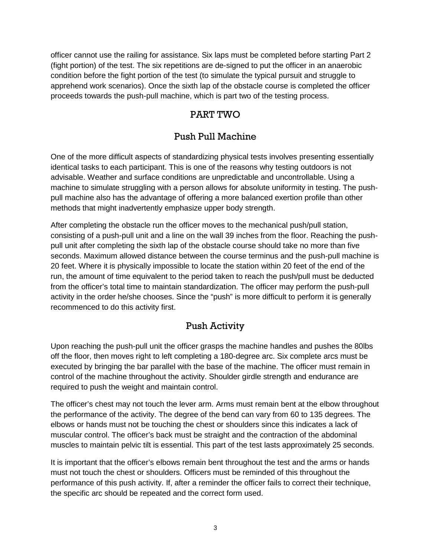officer cannot use the railing for assistance. Six laps must be completed before starting Part 2 (fight portion) of the test. The six repetitions are de-signed to put the officer in an anaerobic condition before the fight portion of the test (to simulate the typical pursuit and struggle to apprehend work scenarios). Once the sixth lap of the obstacle course is completed the officer proceeds towards the push-pull machine, which is part two of the testing process.

## PART TWO

## Push Pull Machine

One of the more difficult aspects of standardizing physical tests involves presenting essentially identical tasks to each participant. This is one of the reasons why testing outdoors is not advisable. Weather and surface conditions are unpredictable and uncontrollable. Using a machine to simulate struggling with a person allows for absolute uniformity in testing. The pushpull machine also has the advantage of offering a more balanced exertion profile than other methods that might inadvertently emphasize upper body strength.

After completing the obstacle run the officer moves to the mechanical push/pull station, consisting of a push-pull unit and a line on the wall 39 inches from the floor. Reaching the pushpull unit after completing the sixth lap of the obstacle course should take no more than five seconds. Maximum allowed distance between the course terminus and the push-pull machine is 20 feet. Where it is physically impossible to locate the station within 20 feet of the end of the run, the amount of time equivalent to the period taken to reach the push/pull must be deducted from the officer's total time to maintain standardization. The officer may perform the push-pull activity in the order he/she chooses. Since the "push" is more difficult to perform it is generally recommenced to do this activity first.

## Push Activity

Upon reaching the push-pull unit the officer grasps the machine handles and pushes the 80lbs off the floor, then moves right to left completing a 180-degree arc. Six complete arcs must be executed by bringing the bar parallel with the base of the machine. The officer must remain in control of the machine throughout the activity. Shoulder girdle strength and endurance are required to push the weight and maintain control.

The officer's chest may not touch the lever arm. Arms must remain bent at the elbow throughout the performance of the activity. The degree of the bend can vary from 60 to 135 degrees. The elbows or hands must not be touching the chest or shoulders since this indicates a lack of muscular control. The officer's back must be straight and the contraction of the abdominal muscles to maintain pelvic tilt is essential. This part of the test lasts approximately 25 seconds.

It is important that the officer's elbows remain bent throughout the test and the arms or hands must not touch the chest or shoulders. Officers must be reminded of this throughout the performance of this push activity. If, after a reminder the officer fails to correct their technique, the specific arc should be repeated and the correct form used.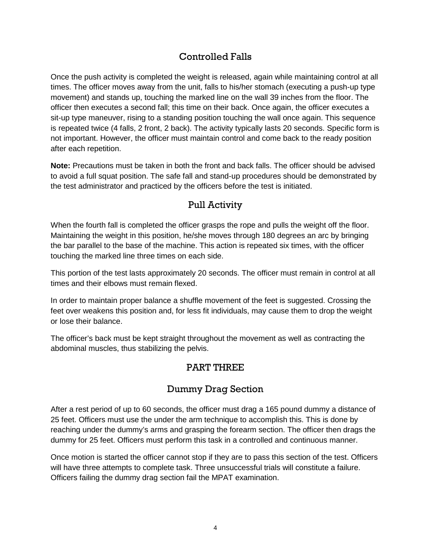## Controlled Falls

Once the push activity is completed the weight is released, again while maintaining control at all times. The officer moves away from the unit, falls to his/her stomach (executing a push-up type movement) and stands up, touching the marked line on the wall 39 inches from the floor. The officer then executes a second fall; this time on their back. Once again, the officer executes a sit-up type maneuver, rising to a standing position touching the wall once again. This sequence is repeated twice (4 falls, 2 front, 2 back). The activity typically lasts 20 seconds. Specific form is not important. However, the officer must maintain control and come back to the ready position after each repetition.

**Note:** Precautions must be taken in both the front and back falls. The officer should be advised to avoid a full squat position. The safe fall and stand-up procedures should be demonstrated by the test administrator and practiced by the officers before the test is initiated.

## Pull Activity

When the fourth fall is completed the officer grasps the rope and pulls the weight off the floor. Maintaining the weight in this position, he/she moves through 180 degrees an arc by bringing the bar parallel to the base of the machine. This action is repeated six times, with the officer touching the marked line three times on each side.

This portion of the test lasts approximately 20 seconds. The officer must remain in control at all times and their elbows must remain flexed.

In order to maintain proper balance a shuffle movement of the feet is suggested. Crossing the feet over weakens this position and, for less fit individuals, may cause them to drop the weight or lose their balance.

The officer's back must be kept straight throughout the movement as well as contracting the abdominal muscles, thus stabilizing the pelvis.

### PART THREE

### Dummy Drag Section

After a rest period of up to 60 seconds, the officer must drag a 165 pound dummy a distance of 25 feet. Officers must use the under the arm technique to accomplish this. This is done by reaching under the dummy's arms and grasping the forearm section. The officer then drags the dummy for 25 feet. Officers must perform this task in a controlled and continuous manner.

Once motion is started the officer cannot stop if they are to pass this section of the test. Officers will have three attempts to complete task. Three unsuccessful trials will constitute a failure. Officers failing the dummy drag section fail the MPAT examination.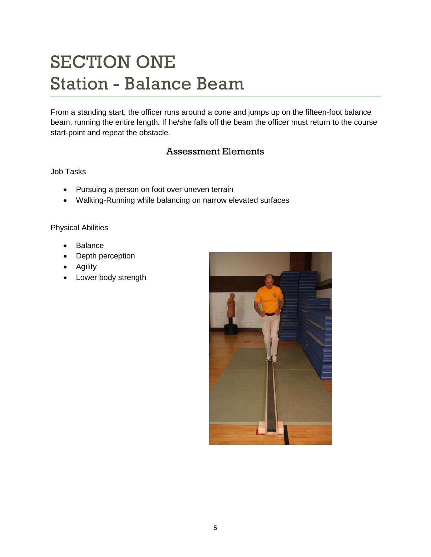# SECTION ONE Station - Balance Beam

From a standing start, the officer runs around a cone and jumps up on the fifteen-foot balance beam, running the entire length. If he/she falls off the beam the officer must return to the course start-point and repeat the obstacle.

### Assessment Elements

### Job Tasks

- Pursuing a person on foot over uneven terrain
- Walking-Running while balancing on narrow elevated surfaces

- Balance
- Depth perception
- Agility
- Lower body strength

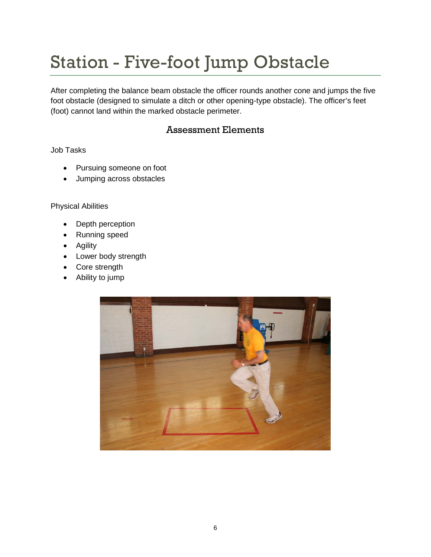# Station - Five-foot Jump Obstacle

After completing the balance beam obstacle the officer rounds another cone and jumps the five foot obstacle (designed to simulate a ditch or other opening-type obstacle). The officer's feet (foot) cannot land within the marked obstacle perimeter.

### Assessment Elements

Job Tasks

- Pursuing someone on foot
- Jumping across obstacles

- Depth perception
- Running speed
- Agility
- Lower body strength
- Core strength
- Ability to jump

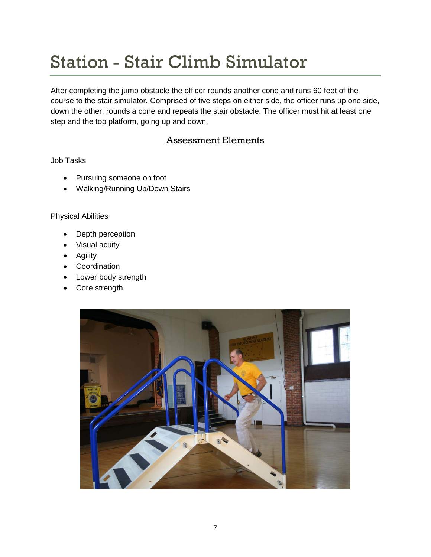# Station - Stair Climb Simulator

After completing the jump obstacle the officer rounds another cone and runs 60 feet of the course to the stair simulator. Comprised of five steps on either side, the officer runs up one side, down the other, rounds a cone and repeats the stair obstacle. The officer must hit at least one step and the top platform, going up and down.

### Assessment Elements

### Job Tasks

- Pursuing someone on foot
- Walking/Running Up/Down Stairs

- Depth perception
- Visual acuity
- Agility
- Coordination
- Lower body strength
- Core strength

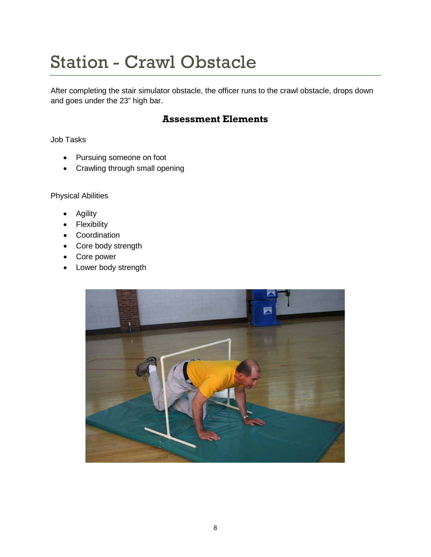# Station - Crawl Obstacle

After completing the stair simulator obstacle, the officer runs to the crawl obstacle, drops down and goes under the 23" high bar.

## **Assessment Elements**

Job Tasks

- Pursuing someone on foot
- Crawling through small opening

- Agility
- Flexibility
- Coordination
- Core body strength
- Core power
- Lower body strength

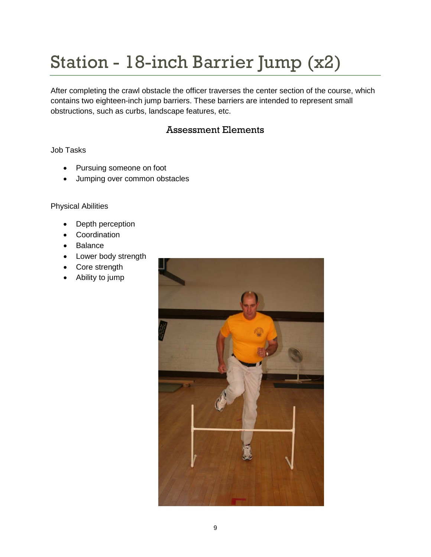# Station - 18-inch Barrier Jump (x2)

After completing the crawl obstacle the officer traverses the center section of the course, which contains two eighteen-inch jump barriers. These barriers are intended to represent small obstructions, such as curbs, landscape features, etc.

## Assessment Elements

### Job Tasks

- Pursuing someone on foot
- Jumping over common obstacles

- Depth perception
- Coordination
- Balance
- Lower body strength
- Core strength
- Ability to jump

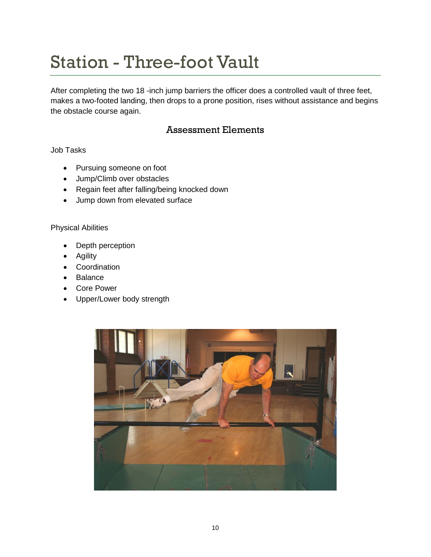# Station - Three-foot Vault

After completing the two 18 -inch jump barriers the officer does a controlled vault of three feet, makes a two-footed landing, then drops to a prone position, rises without assistance and begins the obstacle course again.

## Assessment Elements

Job Tasks

- Pursuing someone on foot
- Jump/Climb over obstacles
- Regain feet after falling/being knocked down
- Jump down from elevated surface

- Depth perception
- Agility
- Coordination
- Balance
- Core Power
- Upper/Lower body strength

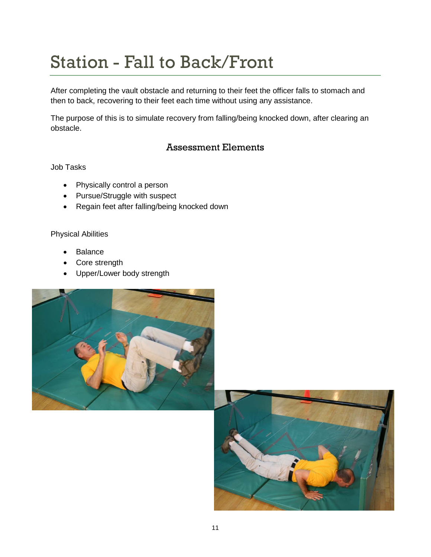# Station - Fall to Back/Front

After completing the vault obstacle and returning to their feet the officer falls to stomach and then to back, recovering to their feet each time without using any assistance.

The purpose of this is to simulate recovery from falling/being knocked down, after clearing an obstacle.

## Assessment Elements

Job Tasks

- Physically control a person
- Pursue/Struggle with suspect
- Regain feet after falling/being knocked down

- **Balance**
- Core strength
- Upper/Lower body strength



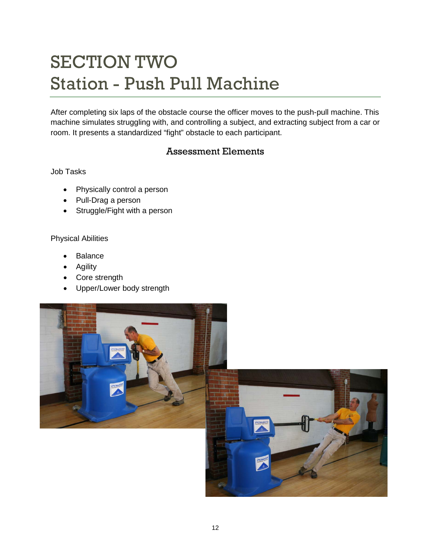# SECTION TWO Station - Push Pull Machine

After completing six laps of the obstacle course the officer moves to the push-pull machine. This machine simulates struggling with, and controlling a subject, and extracting subject from a car or room. It presents a standardized "fight" obstacle to each participant.

## Assessment Elements

### Job Tasks

- Physically control a person
- Pull-Drag a person
- Struggle/Fight with a person

- **Balance**
- Agility
- Core strength
- Upper/Lower body strength

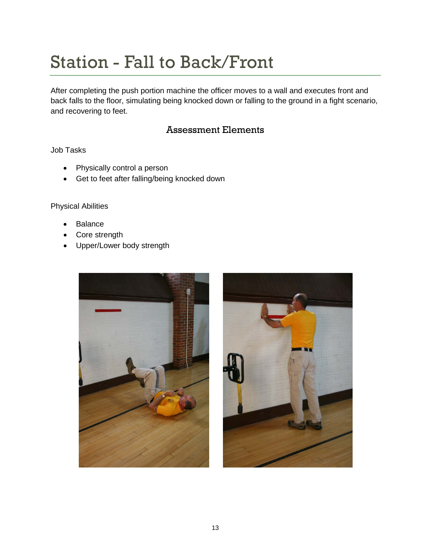# Station - Fall to Back/Front

After completing the push portion machine the officer moves to a wall and executes front and back falls to the floor, simulating being knocked down or falling to the ground in a fight scenario, and recovering to feet.

### Assessment Elements

Job Tasks

- Physically control a person
- Get to feet after falling/being knocked down

- **Balance**
- Core strength
- Upper/Lower body strength



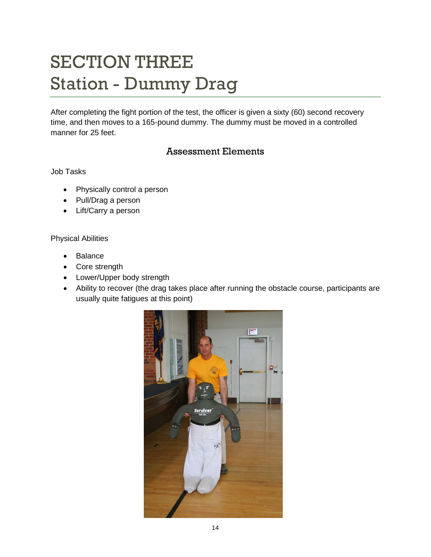# SECTION THREE Station - Dummy Drag

After completing the fight portion of the test, the officer is given a sixty (60) second recovery time, and then moves to a 165-pound dummy. The dummy must be moved in a controlled manner for 25 feet.

## Assessment Elements

Job Tasks

- Physically control a person
- Pull/Drag a person
- Lift/Carry a person

- **Balance**
- Core strength
- Lower/Upper body strength
- Ability to recover (the drag takes place after running the obstacle course, participants are usually quite fatigues at this point)